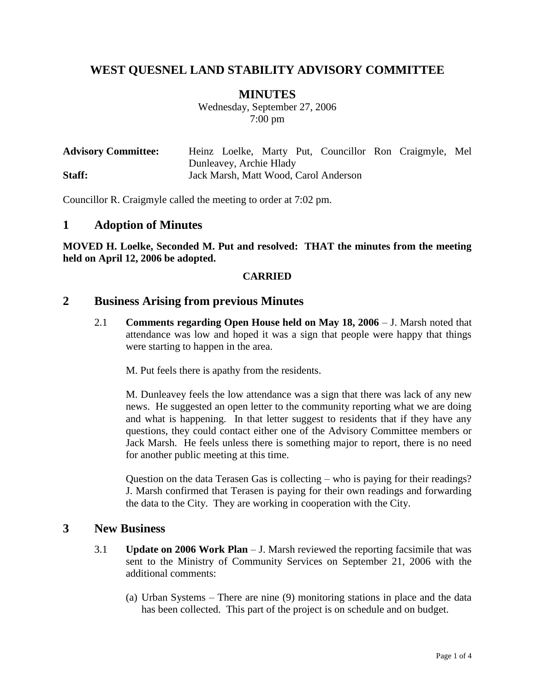# **WEST QUESNEL LAND STABILITY ADVISORY COMMITTEE**

## **MINUTES**

Wednesday, September 27, 2006 7:00 pm

| <b>Advisory Committee:</b> |                         |  |  |  |                                       |  | Heinz Loelke, Marty Put, Councillor Ron Craigmyle, Mel |  |
|----------------------------|-------------------------|--|--|--|---------------------------------------|--|--------------------------------------------------------|--|
|                            | Dunleavey, Archie Hlady |  |  |  |                                       |  |                                                        |  |
| Staff:                     |                         |  |  |  | Jack Marsh, Matt Wood, Carol Anderson |  |                                                        |  |

Councillor R. Craigmyle called the meeting to order at 7:02 pm.

#### **1 Adoption of Minutes**

**MOVED H. Loelke, Seconded M. Put and resolved: THAT the minutes from the meeting held on April 12, 2006 be adopted.**

#### **CARRIED**

## **2 Business Arising from previous Minutes**

2.1 **Comments regarding Open House held on May 18, 2006** – J. Marsh noted that attendance was low and hoped it was a sign that people were happy that things were starting to happen in the area.

M. Put feels there is apathy from the residents.

M. Dunleavey feels the low attendance was a sign that there was lack of any new news. He suggested an open letter to the community reporting what we are doing and what is happening. In that letter suggest to residents that if they have any questions, they could contact either one of the Advisory Committee members or Jack Marsh. He feels unless there is something major to report, there is no need for another public meeting at this time.

Question on the data Terasen Gas is collecting – who is paying for their readings? J. Marsh confirmed that Terasen is paying for their own readings and forwarding the data to the City. They are working in cooperation with the City.

#### **3 New Business**

- 3.1 **Update on 2006 Work Plan** J. Marsh reviewed the reporting facsimile that was sent to the Ministry of Community Services on September 21, 2006 with the additional comments:
	- (a) Urban Systems There are nine (9) monitoring stations in place and the data has been collected. This part of the project is on schedule and on budget.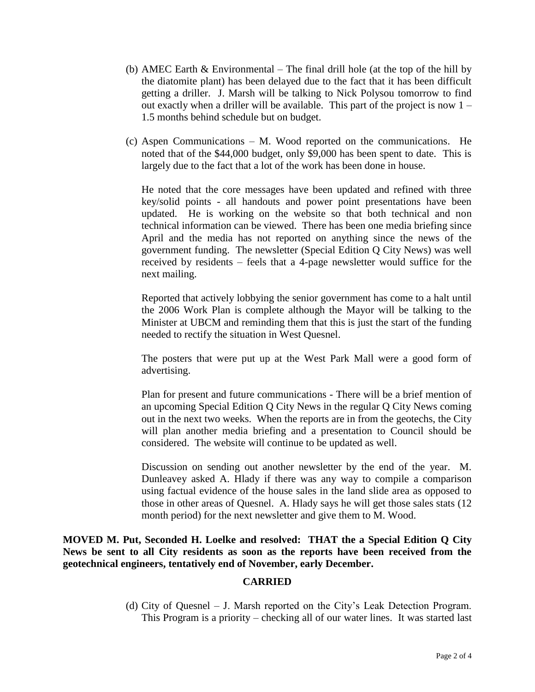- (b) AMEC Earth  $\&$  Environmental The final drill hole (at the top of the hill by the diatomite plant) has been delayed due to the fact that it has been difficult getting a driller. J. Marsh will be talking to Nick Polysou tomorrow to find out exactly when a driller will be available. This part of the project is now 1 – 1.5 months behind schedule but on budget.
- (c) Aspen Communications M. Wood reported on the communications. He noted that of the \$44,000 budget, only \$9,000 has been spent to date. This is largely due to the fact that a lot of the work has been done in house.

He noted that the core messages have been updated and refined with three key/solid points - all handouts and power point presentations have been updated. He is working on the website so that both technical and non technical information can be viewed. There has been one media briefing since April and the media has not reported on anything since the news of the government funding. The newsletter (Special Edition Q City News) was well received by residents – feels that a 4-page newsletter would suffice for the next mailing.

Reported that actively lobbying the senior government has come to a halt until the 2006 Work Plan is complete although the Mayor will be talking to the Minister at UBCM and reminding them that this is just the start of the funding needed to rectify the situation in West Quesnel.

The posters that were put up at the West Park Mall were a good form of advertising.

Plan for present and future communications - There will be a brief mention of an upcoming Special Edition Q City News in the regular Q City News coming out in the next two weeks. When the reports are in from the geotechs, the City will plan another media briefing and a presentation to Council should be considered. The website will continue to be updated as well.

Discussion on sending out another newsletter by the end of the year. M. Dunleavey asked A. Hlady if there was any way to compile a comparison using factual evidence of the house sales in the land slide area as opposed to those in other areas of Quesnel. A. Hlady says he will get those sales stats (12 month period) for the next newsletter and give them to M. Wood.

**MOVED M. Put, Seconded H. Loelke and resolved: THAT the a Special Edition Q City News be sent to all City residents as soon as the reports have been received from the geotechnical engineers, tentatively end of November, early December.**

#### **CARRIED**

(d) City of Quesnel – J. Marsh reported on the City's Leak Detection Program. This Program is a priority – checking all of our water lines. It was started last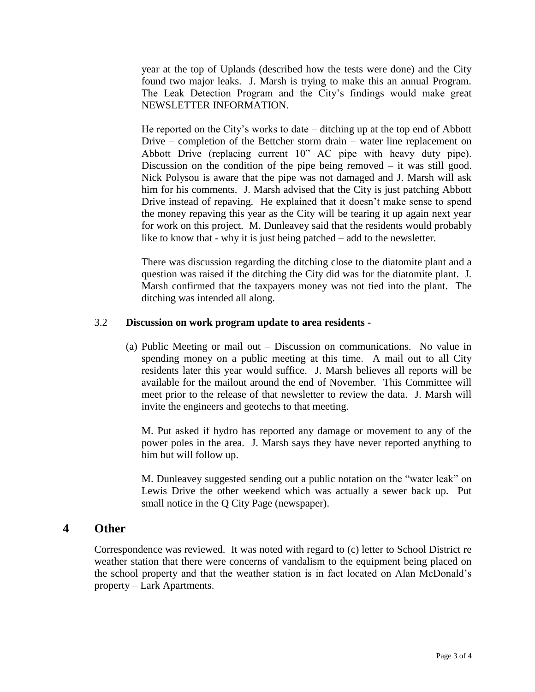year at the top of Uplands (described how the tests were done) and the City found two major leaks. J. Marsh is trying to make this an annual Program. The Leak Detection Program and the City's findings would make great NEWSLETTER INFORMATION.

He reported on the City's works to date – ditching up at the top end of Abbott Drive – completion of the Bettcher storm drain – water line replacement on Abbott Drive (replacing current 10" AC pipe with heavy duty pipe). Discussion on the condition of the pipe being removed – it was still good. Nick Polysou is aware that the pipe was not damaged and J. Marsh will ask him for his comments. J. Marsh advised that the City is just patching Abbott Drive instead of repaving. He explained that it doesn't make sense to spend the money repaving this year as the City will be tearing it up again next year for work on this project. M. Dunleavey said that the residents would probably like to know that - why it is just being patched – add to the newsletter.

There was discussion regarding the ditching close to the diatomite plant and a question was raised if the ditching the City did was for the diatomite plant. J. Marsh confirmed that the taxpayers money was not tied into the plant. The ditching was intended all along.

#### 3.2 **Discussion on work program update to area residents -**

(a) Public Meeting or mail out – Discussion on communications. No value in spending money on a public meeting at this time. A mail out to all City residents later this year would suffice. J. Marsh believes all reports will be available for the mailout around the end of November. This Committee will meet prior to the release of that newsletter to review the data. J. Marsh will invite the engineers and geotechs to that meeting.

M. Put asked if hydro has reported any damage or movement to any of the power poles in the area. J. Marsh says they have never reported anything to him but will follow up.

M. Dunleavey suggested sending out a public notation on the "water leak" on Lewis Drive the other weekend which was actually a sewer back up. Put small notice in the Q City Page (newspaper).

#### **4 Other**

Correspondence was reviewed. It was noted with regard to (c) letter to School District re weather station that there were concerns of vandalism to the equipment being placed on the school property and that the weather station is in fact located on Alan McDonald's property – Lark Apartments.